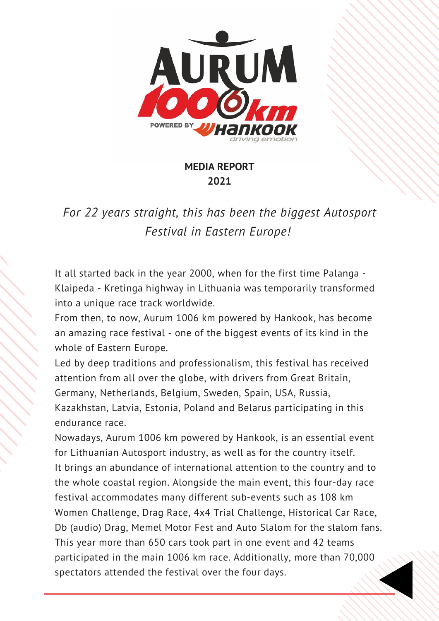

#### **MEDIA REPORT 2021**

*For 22 years straight, this has been the biggest Autosport Festival in Eastern Europe!*

It all started back in the year 2000, when for the first time Palanga - Klaipeda - Kretinga highway in Lithuania was temporarily transformed into a unique race track worldwide.

From then, to now, Aurum 1006 km powered by Hankook, has become an amazing race festival - one of the biggest events of its kind in the whole of Eastern Europe.

Led by deep traditions and professionalism, this festival has received attention from all over the globe, with drivers from Great Britain, Germany, Netherlands, Belgium, Sweden, Spain, USA, Russia, Kazakhstan, Latvia, Estonia, Poland and Belarus participating in this endurance race.

Nowadays, Aurum 1006 km powered by Hankook, is an essential event for Lithuanian Autosport industry, as well as for the country itself. It brings an abundance of international attention to the country and to the whole coastal region. Alongside the main event, this four-day race festival accommodates many different sub-events such as 108 km Women Challenge, Drag Race, 4x4 Trial Challenge, Historical Car Race, Db (audio) Drag, Memel Motor Fest and Auto Slalom for the slalom fans. This year more than 650 cars took part in one event and 42 teams participated in the main 1006 km race. Additionally, more than 70,000 spectators attended the festival over the four days.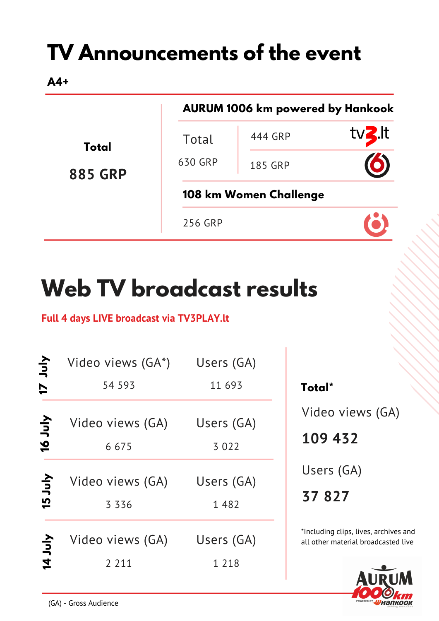## **TV Announcements of the event**

**A4+**

|                                |                        | <b>AURUM 1006 km powered by Hankook</b> |                  |  |
|--------------------------------|------------------------|-----------------------------------------|------------------|--|
| <b>Total</b><br><b>885 GRP</b> | Total                  | 444 GRP                                 | tv <b>3</b> .It  |  |
|                                | 630 GRP                | <b>185 GRP</b>                          | $\mathbf \Omega$ |  |
|                                | 108 km Women Challenge |                                         |                  |  |
|                                | 256 GRP                |                                         |                  |  |

# **Web TV broadcast results**

#### **Full 4 days LIVE broadcast via TV3PLAY.lt**

| とり<br>$\overline{1}$ | Video views (GA*)<br>54 593 | Users (GA)<br>11 693  |
|----------------------|-----------------------------|-----------------------|
| <b>Ant 91</b>        | Video views (GA)<br>6675    | Users (GA)<br>3 0 2 2 |
| <b>Ant St</b>        | Video views (GA)<br>3 3 3 6 | Users (GA)<br>1 4 8 2 |
| <b>Aul 41</b>        | Video views (GA)<br>2 2 1 1 | Users (GA)<br>1 2 1 8 |

**Total\*** Video views (GA)

**109 432**

Users (GA)

**37 827**

\*Including clips, lives, archives and all other material broadcasted live

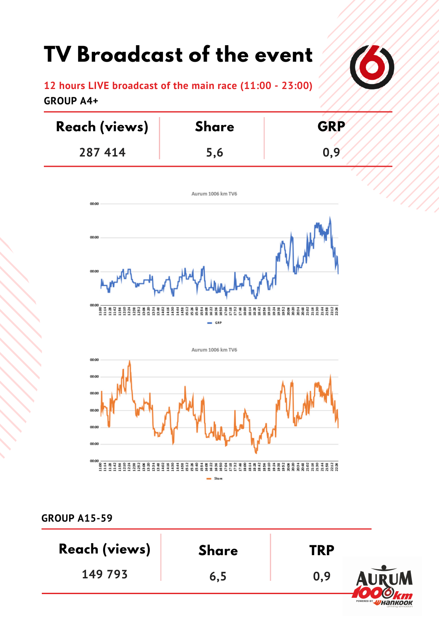### **TV Broadcast of the event**



**12 hours LIVE broadcast of the main race (11:00 - 23:00) GROUP A4+**

| <b>Reach (views)</b> | <b>Share</b> | <b>GRP</b> |
|----------------------|--------------|------------|
| 287 414              | 5.6          | 0.9        |





**GROUP A15-59**

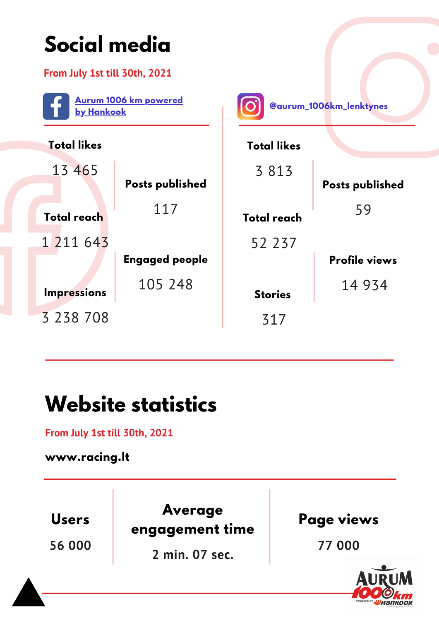

#### **Website statistics**

**From July 1st till 30th, 2021**

**www.racing.lt**

**56 000 Users**

**Average engagement time**

**2 min. 07 sec.**

**Page views**

**77 000**